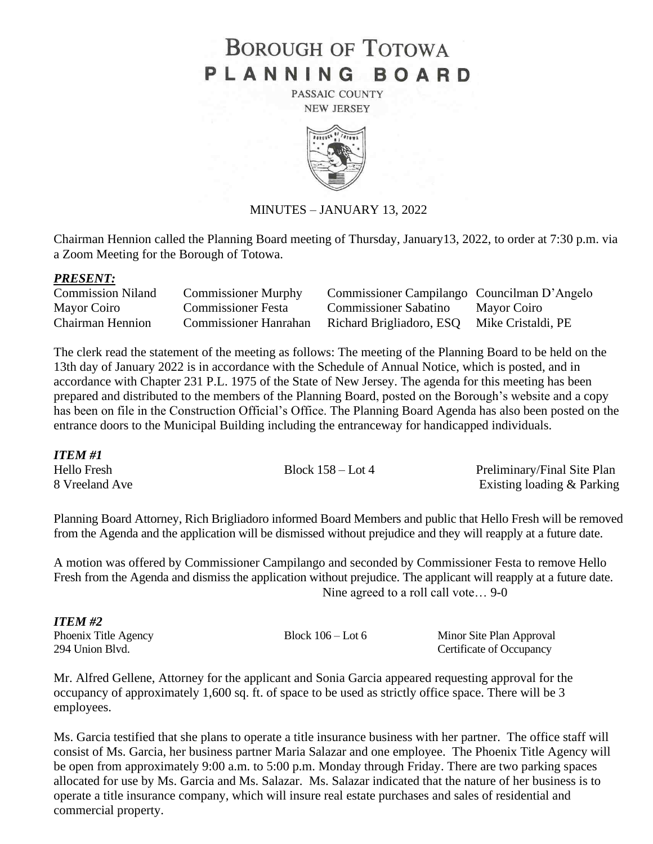# **BOROUGH OF TOTOWA** PLANNING BOARD

PASSAIC COUNTY **NEW JERSEY** 



### MINUTES – JANUARY 13, 2022

Chairman Hennion called the Planning Board meeting of Thursday, January13, 2022, to order at 7:30 p.m. via a Zoom Meeting for the Borough of Totowa.

#### *PRESENT:*

| <b>Commission Niland</b> | <b>Commissioner Murphy</b>   | Commissioner Campilango Councilman D'Angelo |             |
|--------------------------|------------------------------|---------------------------------------------|-------------|
| Mayor Coiro              | Commissioner Festa           | <b>Commissioner Sabatino</b>                | Mayor Coiro |
| <b>Chairman Hennion</b>  | <b>Commissioner Hanrahan</b> | Richard Brigliadoro, ESQ Mike Cristaldi, PE |             |

The clerk read the statement of the meeting as follows: The meeting of the Planning Board to be held on the 13th day of January 2022 is in accordance with the Schedule of Annual Notice, which is posted, and in accordance with Chapter 231 P.L. 1975 of the State of New Jersey. The agenda for this meeting has been prepared and distributed to the members of the Planning Board, posted on the Borough's website and a copy has been on file in the Construction Official's Office. The Planning Board Agenda has also been posted on the entrance doors to the Municipal Building including the entranceway for handicapped individuals.

*ITEM #1* Hello Fresh Block 158 – Lot 4 Preliminary/Final Site Plan 8 Vreeland Ave Existing loading & Parking

Planning Board Attorney, Rich Brigliadoro informed Board Members and public that Hello Fresh will be removed from the Agenda and the application will be dismissed without prejudice and they will reapply at a future date.

A motion was offered by Commissioner Campilango and seconded by Commissioner Festa to remove Hello Fresh from the Agenda and dismiss the application without prejudice. The applicant will reapply at a future date. Nine agreed to a roll call vote… 9-0

| <b>ITEM#2</b>        |                     |                          |
|----------------------|---------------------|--------------------------|
| Phoenix Title Agency | Block $106 -$ Lot 6 | Minor Site Plan Approval |
| 294 Union Blvd.      |                     | Certificate of Occupancy |

Mr. Alfred Gellene, Attorney for the applicant and Sonia Garcia appeared requesting approval for the occupancy of approximately 1,600 sq. ft. of space to be used as strictly office space. There will be 3 employees.

Ms. Garcia testified that she plans to operate a title insurance business with her partner. The office staff will consist of Ms. Garcia, her business partner Maria Salazar and one employee. The Phoenix Title Agency will be open from approximately 9:00 a.m. to 5:00 p.m. Monday through Friday. There are two parking spaces allocated for use by Ms. Garcia and Ms. Salazar. Ms. Salazar indicated that the nature of her business is to operate a title insurance company, which will insure real estate purchases and sales of residential and commercial property.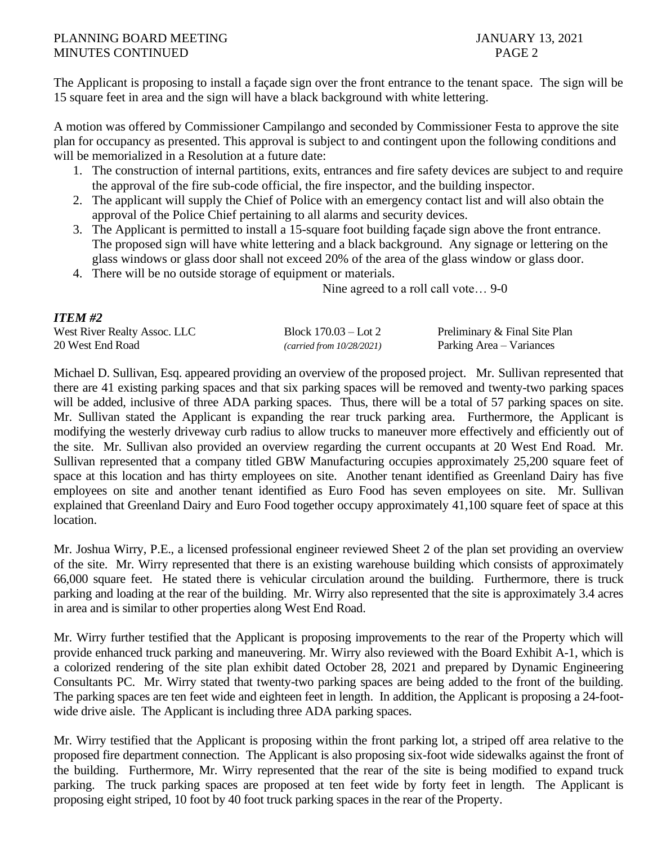*ITEM #2*

The Applicant is proposing to install a façade sign over the front entrance to the tenant space. The sign will be 15 square feet in area and the sign will have a black background with white lettering.

A motion was offered by Commissioner Campilango and seconded by Commissioner Festa to approve the site plan for occupancy as presented. This approval is subject to and contingent upon the following conditions and will be memorialized in a Resolution at a future date:

- 1. The construction of internal partitions, exits, entrances and fire safety devices are subject to and require the approval of the fire sub-code official, the fire inspector, and the building inspector.
- 2. The applicant will supply the Chief of Police with an emergency contact list and will also obtain the approval of the Police Chief pertaining to all alarms and security devices.
- 3. The Applicant is permitted to install a 15-square foot building façade sign above the front entrance. The proposed sign will have white lettering and a black background. Any signage or lettering on the glass windows or glass door shall not exceed 20% of the area of the glass window or glass door.
- 4. There will be no outside storage of equipment or materials.

Nine agreed to a roll call vote… 9-0

| 11 LIVI #2                          |                           |                               |
|-------------------------------------|---------------------------|-------------------------------|
| <b>West River Realty Assoc. LLC</b> | Block $170.03 -$ Lot 2    | Preliminary & Final Site Plan |
| 20 West End Road                    | (carried from 10/28/2021) | Parking Area – Variances      |

Michael D. Sullivan, Esq. appeared providing an overview of the proposed project. Mr. Sullivan represented that there are 41 existing parking spaces and that six parking spaces will be removed and twenty-two parking spaces will be added, inclusive of three ADA parking spaces. Thus, there will be a total of 57 parking spaces on site. Mr. Sullivan stated the Applicant is expanding the rear truck parking area. Furthermore, the Applicant is modifying the westerly driveway curb radius to allow trucks to maneuver more effectively and efficiently out of the site. Mr. Sullivan also provided an overview regarding the current occupants at 20 West End Road. Mr. Sullivan represented that a company titled GBW Manufacturing occupies approximately 25,200 square feet of space at this location and has thirty employees on site. Another tenant identified as Greenland Dairy has five employees on site and another tenant identified as Euro Food has seven employees on site. Mr. Sullivan explained that Greenland Dairy and Euro Food together occupy approximately 41,100 square feet of space at this location.

Mr. Joshua Wirry, P.E., a licensed professional engineer reviewed Sheet 2 of the plan set providing an overview of the site. Mr. Wirry represented that there is an existing warehouse building which consists of approximately 66,000 square feet. He stated there is vehicular circulation around the building. Furthermore, there is truck parking and loading at the rear of the building. Mr. Wirry also represented that the site is approximately 3.4 acres in area and is similar to other properties along West End Road.

Mr. Wirry further testified that the Applicant is proposing improvements to the rear of the Property which will provide enhanced truck parking and maneuvering. Mr. Wirry also reviewed with the Board Exhibit A-1, which is a colorized rendering of the site plan exhibit dated October 28, 2021 and prepared by Dynamic Engineering Consultants PC. Mr. Wirry stated that twenty-two parking spaces are being added to the front of the building. The parking spaces are ten feet wide and eighteen feet in length. In addition, the Applicant is proposing a 24-footwide drive aisle. The Applicant is including three ADA parking spaces.

Mr. Wirry testified that the Applicant is proposing within the front parking lot, a striped off area relative to the proposed fire department connection. The Applicant is also proposing six-foot wide sidewalks against the front of the building. Furthermore, Mr. Wirry represented that the rear of the site is being modified to expand truck parking. The truck parking spaces are proposed at ten feet wide by forty feet in length. The Applicant is proposing eight striped, 10 foot by 40 foot truck parking spaces in the rear of the Property.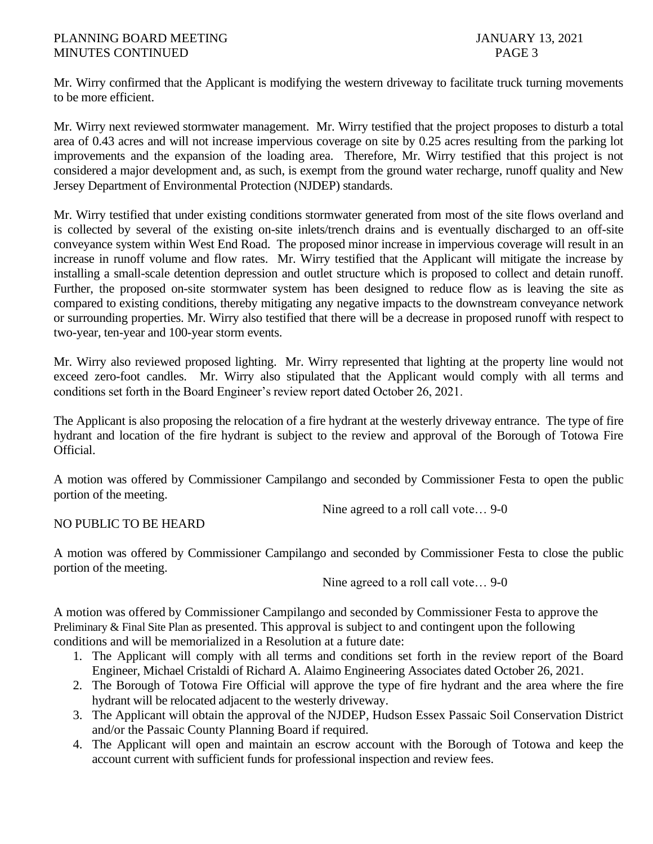Mr. Wirry confirmed that the Applicant is modifying the western driveway to facilitate truck turning movements to be more efficient.

Mr. Wirry next reviewed stormwater management. Mr. Wirry testified that the project proposes to disturb a total area of 0.43 acres and will not increase impervious coverage on site by 0.25 acres resulting from the parking lot improvements and the expansion of the loading area. Therefore, Mr. Wirry testified that this project is not considered a major development and, as such, is exempt from the ground water recharge, runoff quality and New Jersey Department of Environmental Protection (NJDEP) standards.

Mr. Wirry testified that under existing conditions stormwater generated from most of the site flows overland and is collected by several of the existing on-site inlets/trench drains and is eventually discharged to an off-site conveyance system within West End Road. The proposed minor increase in impervious coverage will result in an increase in runoff volume and flow rates. Mr. Wirry testified that the Applicant will mitigate the increase by installing a small-scale detention depression and outlet structure which is proposed to collect and detain runoff. Further, the proposed on-site stormwater system has been designed to reduce flow as is leaving the site as compared to existing conditions, thereby mitigating any negative impacts to the downstream conveyance network or surrounding properties. Mr. Wirry also testified that there will be a decrease in proposed runoff with respect to two-year, ten-year and 100-year storm events.

Mr. Wirry also reviewed proposed lighting. Mr. Wirry represented that lighting at the property line would not exceed zero-foot candles. Mr. Wirry also stipulated that the Applicant would comply with all terms and conditions set forth in the Board Engineer's review report dated October 26, 2021.

The Applicant is also proposing the relocation of a fire hydrant at the westerly driveway entrance. The type of fire hydrant and location of the fire hydrant is subject to the review and approval of the Borough of Totowa Fire Official.

A motion was offered by Commissioner Campilango and seconded by Commissioner Festa to open the public portion of the meeting.

Nine agreed to a roll call vote… 9-0

# NO PUBLIC TO BE HEARD

A motion was offered by Commissioner Campilango and seconded by Commissioner Festa to close the public portion of the meeting.

Nine agreed to a roll call vote… 9-0

A motion was offered by Commissioner Campilango and seconded by Commissioner Festa to approve the Preliminary & Final Site Plan as presented. This approval is subject to and contingent upon the following conditions and will be memorialized in a Resolution at a future date:

- 1. The Applicant will comply with all terms and conditions set forth in the review report of the Board Engineer, Michael Cristaldi of Richard A. Alaimo Engineering Associates dated October 26, 2021.
- 2. The Borough of Totowa Fire Official will approve the type of fire hydrant and the area where the fire hydrant will be relocated adjacent to the westerly driveway.
- 3. The Applicant will obtain the approval of the NJDEP, Hudson Essex Passaic Soil Conservation District and/or the Passaic County Planning Board if required.
- 4. The Applicant will open and maintain an escrow account with the Borough of Totowa and keep the account current with sufficient funds for professional inspection and review fees.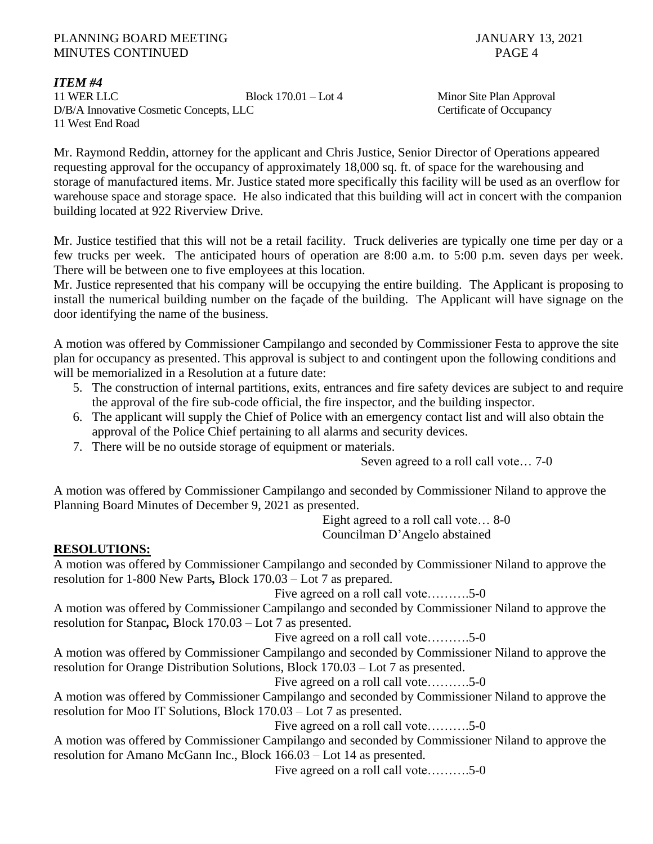*ITEM #4*

11 WER LLC Block 170.01 – Lot 4 Minor Site Plan Approval D/B/A Innovative Cosmetic Concepts, LLC Certificate of Occupancy 11 West End Road

Mr. Raymond Reddin, attorney for the applicant and Chris Justice, Senior Director of Operations appeared requesting approval for the occupancy of approximately 18,000 sq. ft. of space for the warehousing and storage of manufactured items. Mr. Justice stated more specifically this facility will be used as an overflow for warehouse space and storage space. He also indicated that this building will act in concert with the companion building located at 922 Riverview Drive.

Mr. Justice testified that this will not be a retail facility. Truck deliveries are typically one time per day or a few trucks per week. The anticipated hours of operation are 8:00 a.m. to 5:00 p.m. seven days per week. There will be between one to five employees at this location.

Mr. Justice represented that his company will be occupying the entire building. The Applicant is proposing to install the numerical building number on the façade of the building. The Applicant will have signage on the door identifying the name of the business.

A motion was offered by Commissioner Campilango and seconded by Commissioner Festa to approve the site plan for occupancy as presented. This approval is subject to and contingent upon the following conditions and will be memorialized in a Resolution at a future date:

- 5. The construction of internal partitions, exits, entrances and fire safety devices are subject to and require the approval of the fire sub-code official, the fire inspector, and the building inspector.
- 6. The applicant will supply the Chief of Police with an emergency contact list and will also obtain the approval of the Police Chief pertaining to all alarms and security devices.
- 7. There will be no outside storage of equipment or materials.

Seven agreed to a roll call vote… 7-0

A motion was offered by Commissioner Campilango and seconded by Commissioner Niland to approve the Planning Board Minutes of December 9, 2021 as presented.

> Eight agreed to a roll call vote… 8-0 Councilman D'Angelo abstained

# **RESOLUTIONS:**

A motion was offered by Commissioner Campilango and seconded by Commissioner Niland to approve the resolution for 1-800 New Parts*,* Block 170.03 – Lot 7 as prepared.

Five agreed on a roll call vote……….5-0

A motion was offered by Commissioner Campilango and seconded by Commissioner Niland to approve the resolution for Stanpac*,* Block 170.03 – Lot 7 as presented.

Five agreed on a roll call vote……….5-0

A motion was offered by Commissioner Campilango and seconded by Commissioner Niland to approve the resolution for Orange Distribution Solutions, Block 170.03 – Lot 7 as presented.

Five agreed on a roll call vote……….5-0

A motion was offered by Commissioner Campilango and seconded by Commissioner Niland to approve the resolution for Moo IT Solutions, Block 170.03 – Lot 7 as presented.

Five agreed on a roll call vote……….5-0

A motion was offered by Commissioner Campilango and seconded by Commissioner Niland to approve the resolution for Amano McGann Inc., Block 166.03 – Lot 14 as presented.

Five agreed on a roll call vote……….5-0